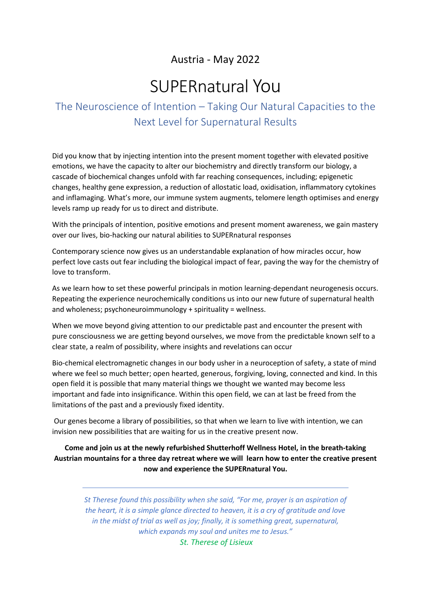## Austria - May 2022

## SUPERnatural You

## The Neuroscience of Intention – Taking Our Natural Capacities to the Next Level for Supernatural Results

Did you know that by injecting intention into the present moment together with elevated positive emotions, we have the capacity to alter our biochemistry and directly transform our biology, a cascade of biochemical changes unfold with far reaching consequences, including; epigenetic changes, healthy gene expression, a reduction of allostatic load, oxidisation, inflammatory cytokines and inflamaging. What's more, our immune system augments, telomere length optimises and energy levels ramp up ready for us to direct and distribute.

With the principals of intention, positive emotions and present moment awareness, we gain mastery over our lives, bio-hacking our natural abilities to SUPERnatural responses

Contemporary science now gives us an understandable explanation of how miracles occur, how perfect love casts out fear including the biological impact of fear, paving the way for the chemistry of love to transform.

As we learn how to set these powerful principals in motion learning-dependant neurogenesis occurs. Repeating the experience neurochemically conditions us into our new future of supernatural health and wholeness; psychoneuroimmunology + spirituality = wellness.

When we move beyond giving attention to our predictable past and encounter the present with pure consciousness we are getting beyond ourselves, we move from the predictable known self to a clear state, a realm of possibility, where insights and revelations can occur

Bio-chemical electromagnetic changes in our body usher in a neuroception of safety, a state of mind where we feel so much better; open hearted, generous, forgiving, loving, connected and kind. In this open field it is possible that many material things we thought we wanted may become less important and fade into insignificance. Within this open field, we can at last be freed from the limitations of the past and a previously fixed identity.

Our genes become a library of possibilities, so that when we learn to live with intention, we can invision new possibilities that are waiting for us in the creative present now.

## **Come and join us at the newly refurbished Shutterhoff Wellness Hotel, in the breath-taking Austrian mountains for a three day retreat where we will learn how to enter the creative present now and experience the SUPERnatural You.**

*St Therese found this possibility when she said, "For me, prayer is an aspiration of the heart, it is a simple glance directed to heaven, it is a cry of gratitude and love in the midst of trial as well as joy; finally, it is something great, supernatural, which expands my soul and unites me to Jesus." St. Therese of Lisieux*